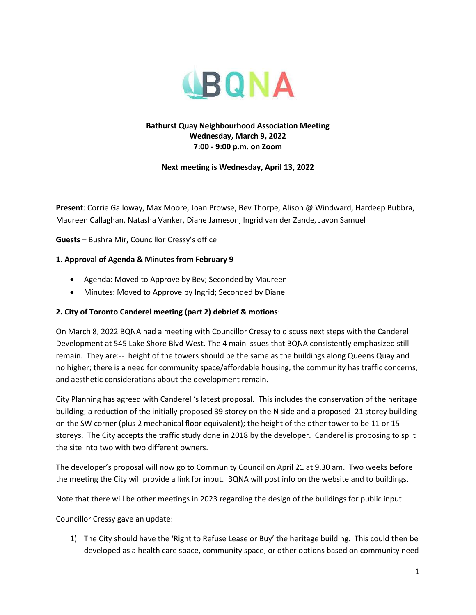

#### **Bathurst Quay Neighbourhood Association Meeting Wednesday, March 9, 2022 7:00 - 9:00 p.m. on Zoom**

**Next meeting is Wednesday, April 13, 2022**

**Present**: Corrie Galloway, Max Moore, Joan Prowse, Bev Thorpe, Alison @ Windward, Hardeep Bubbra, Maureen Callaghan, Natasha Vanker, Diane Jameson, Ingrid van der Zande, Javon Samuel

**Guests** – Bushra Mir, Councillor Cressy's office

#### **1. Approval of Agenda & Minutes from February 9**

- Agenda: Moved to Approve by Bev; Seconded by Maureen-
- Minutes: Moved to Approve by Ingrid; Seconded by Diane

#### **2. City of Toronto Canderel meeting (part 2) debrief & motions**:

On March 8, 2022 BQNA had a meeting with Councillor Cressy to discuss next steps with the Canderel Development at 545 Lake Shore Blvd West. The 4 main issues that BQNA consistently emphasized still remain. They are:-- height of the towers should be the same as the buildings along Queens Quay and no higher; there is a need for community space/affordable housing, the community has traffic concerns, and aesthetic considerations about the development remain.

City Planning has agreed with Canderel 's latest proposal. This includes the conservation of the heritage building; a reduction of the initially proposed 39 storey on the N side and a proposed 21 storey building on the SW corner (plus 2 mechanical floor equivalent); the height of the other tower to be 11 or 15 storeys. The City accepts the traffic study done in 2018 by the developer. Canderel is proposing to split the site into two with two different owners.

The developer's proposal will now go to Community Council on April 21 at 9.30 am. Two weeks before the meeting the City will provide a link for input. BQNA will post info on the website and to buildings.

Note that there will be other meetings in 2023 regarding the design of the buildings for public input.

Councillor Cressy gave an update:

1) The City should have the 'Right to Refuse Lease or Buy' the heritage building. This could then be developed as a health care space, community space, or other options based on community need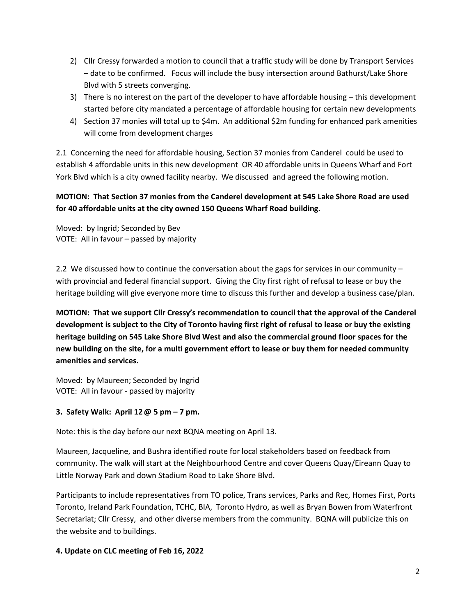- 2) Cllr Cressy forwarded a motion to council that a traffic study will be done by Transport Services – date to be confirmed. Focus will include the busy intersection around Bathurst/Lake Shore Blvd with 5 streets converging.
- 3) There is no interest on the part of the developer to have affordable housing this development started before city mandated a percentage of affordable housing for certain new developments
- 4) Section 37 monies will total up to \$4m. An additional \$2m funding for enhanced park amenities will come from development charges

2.1 Concerning the need for affordable housing, Section 37 monies from Canderel could be used to establish 4 affordable units in this new development OR 40 affordable units in Queens Wharf and Fort York Blvd which is a city owned facility nearby. We discussed and agreed the following motion.

# **MOTION: That Section 37 monies from the Canderel development at 545 Lake Shore Road are used for 40 affordable units at the city owned 150 Queens Wharf Road building.**

Moved: by Ingrid; Seconded by Bev VOTE: All in favour – passed by majority

2.2 We discussed how to continue the conversation about the gaps for services in our community with provincial and federal financial support. Giving the City first right of refusal to lease or buy the heritage building will give everyone more time to discuss this further and develop a business case/plan.

**MOTION: That we support Cllr Cressy's recommendation to council that the approval of the Canderel development is subject to the City of Toronto having first right of refusal to lease or buy the existing heritage building on 545 Lake Shore Blvd West and also the commercial ground floor spaces for the new building on the site, for a multi government effort to lease or buy them for needed community amenities and services.** 

Moved: by Maureen; Seconded by Ingrid VOTE: All in favour - passed by majority

## **3. Safety Walk: April 12@ 5 pm – 7 pm.**

Note: this is the day before our next BQNA meeting on April 13.

Maureen, Jacqueline, and Bushra identified route for local stakeholders based on feedback from community. The walk will start at the Neighbourhood Centre and cover Queens Quay/Eireann Quay to Little Norway Park and down Stadium Road to Lake Shore Blvd.

Participants to include representatives from TO police, Trans services, Parks and Rec, Homes First, Ports Toronto, Ireland Park Foundation, TCHC, BIA, Toronto Hydro, as well as Bryan Bowen from Waterfront Secretariat; Cllr Cressy, and other diverse members from the community. BQNA will publicize this on the website and to buildings.

### **4. Update on CLC meeting of Feb 16, 2022**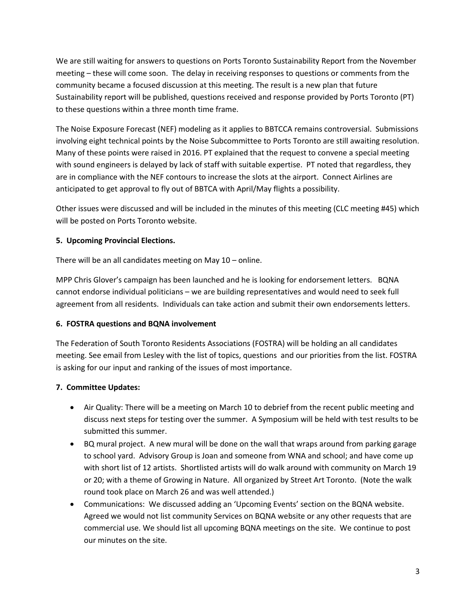We are still waiting for answers to questions on Ports Toronto Sustainability Report from the November meeting – these will come soon. The delay in receiving responses to questions or comments from the community became a focused discussion at this meeting. The result is a new plan that future Sustainability report will be published, questions received and response provided by Ports Toronto (PT) to these questions within a three month time frame.

The Noise Exposure Forecast (NEF) modeling as it applies to BBTCCA remains controversial. Submissions involving eight technical points by the Noise Subcommittee to Ports Toronto are still awaiting resolution. Many of these points were raised in 2016. PT explained that the request to convene a special meeting with sound engineers is delayed by lack of staff with suitable expertise. PT noted that regardless, they are in compliance with the NEF contours to increase the slots at the airport. Connect Airlines are anticipated to get approval to fly out of BBTCA with April/May flights a possibility.

Other issues were discussed and will be included in the minutes of this meeting (CLC meeting #45) which will be posted on Ports Toronto website.

## **5. Upcoming Provincial Elections.**

There will be an all candidates meeting on May 10 – online.

MPP Chris Glover's campaign has been launched and he is looking for endorsement letters. BQNA cannot endorse individual politicians – we are building representatives and would need to seek full agreement from all residents. Individuals can take action and submit their own endorsements letters.

### **6. FOSTRA questions and BQNA involvement**

The Federation of South Toronto Residents Associations (FOSTRA) will be holding an all candidates meeting. See email from Lesley with the list of topics, questions and our priorities from the list. FOSTRA is asking for our input and ranking of the issues of most importance.

## **7. Committee Updates:**

- Air Quality: There will be a meeting on March 10 to debrief from the recent public meeting and discuss next steps for testing over the summer. A Symposium will be held with test results to be submitted this summer.
- BQ mural project. A new mural will be done on the wall that wraps around from parking garage to school yard. Advisory Group is Joan and someone from WNA and school; and have come up with short list of 12 artists. Shortlisted artists will do walk around with community on March 19 or 20; with a theme of Growing in Nature. All organized by Street Art Toronto. (Note the walk round took place on March 26 and was well attended.)
- Communications: We discussed adding an 'Upcoming Events' section on the BQNA website. Agreed we would not list community Services on BQNA website or any other requests that are commercial use. We should list all upcoming BQNA meetings on the site. We continue to post our minutes on the site.